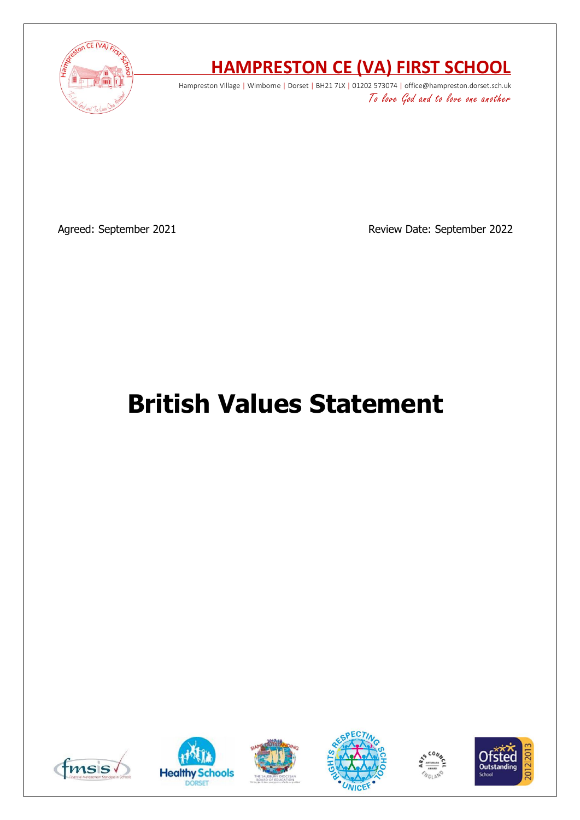

# **HAMPRESTON CE (VA) FIRST SCHOOL**

Hampreston Village | Wimborne | Dorset | BH21 7LX | 01202 573074 | office@hampreston.dorset.sch.uk To love God and to love one another

Agreed: September 2021 and a september 2022 Review Date: September 2022

# **British Values Statement**











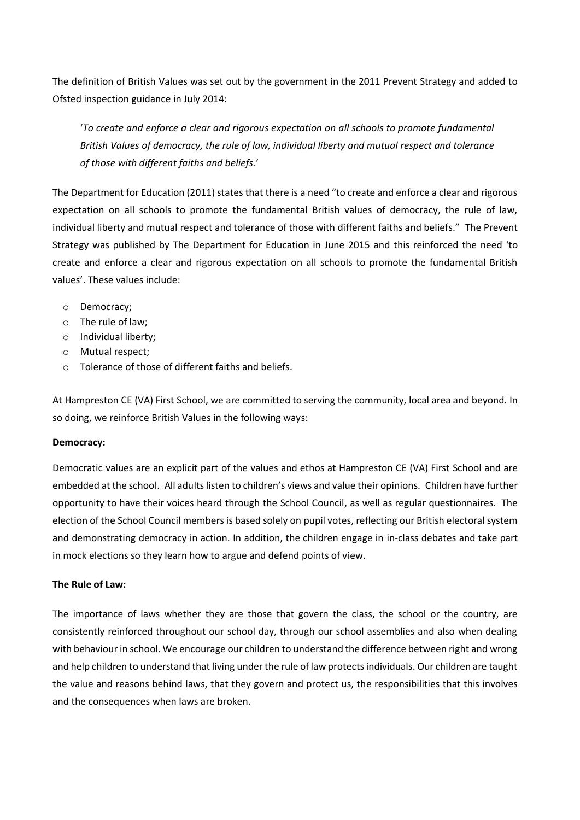The definition of British Values was set out by the government in the 2011 Prevent Strategy and added to Ofsted inspection guidance in July 2014:

'*To create and enforce a clear and rigorous expectation on all schools to promote fundamental British Values of democracy, the rule of law, individual liberty and mutual respect and tolerance of those with different faiths and beliefs.*'

The Department for Education (2011) states that there is a need "to create and enforce a clear and rigorous expectation on all schools to promote the fundamental British values of democracy, the rule of law, individual liberty and mutual respect and tolerance of those with different faiths and beliefs." The Prevent Strategy was published by The Department for Education in June 2015 and this reinforced the need 'to create and enforce a clear and rigorous expectation on all schools to promote the fundamental British values'. These values include:

- o Democracy;
- o The rule of law;
- o Individual liberty;
- o Mutual respect;
- o Tolerance of those of different faiths and beliefs.

At Hampreston CE (VA) First School, we are committed to serving the community, local area and beyond. In so doing, we reinforce British Values in the following ways:

# **Democracy:**

Democratic values are an explicit part of the values and ethos at Hampreston CE (VA) First School and are embedded at the school. All adults listen to children's views and value their opinions. Children have further opportunity to have their voices heard through the School Council, as well as regular questionnaires. The election of the School Council members is based solely on pupil votes, reflecting our British electoral system and demonstrating democracy in action. In addition, the children engage in in-class debates and take part in mock elections so they learn how to argue and defend points of view.

# **The Rule of Law:**

The importance of laws whether they are those that govern the class, the school or the country, are consistently reinforced throughout our school day, through our school assemblies and also when dealing with behaviour in school. We encourage our children to understand the difference between right and wrong and help children to understand that living under the rule of law protects individuals. Our children are taught the value and reasons behind laws, that they govern and protect us, the responsibilities that this involves and the consequences when laws are broken.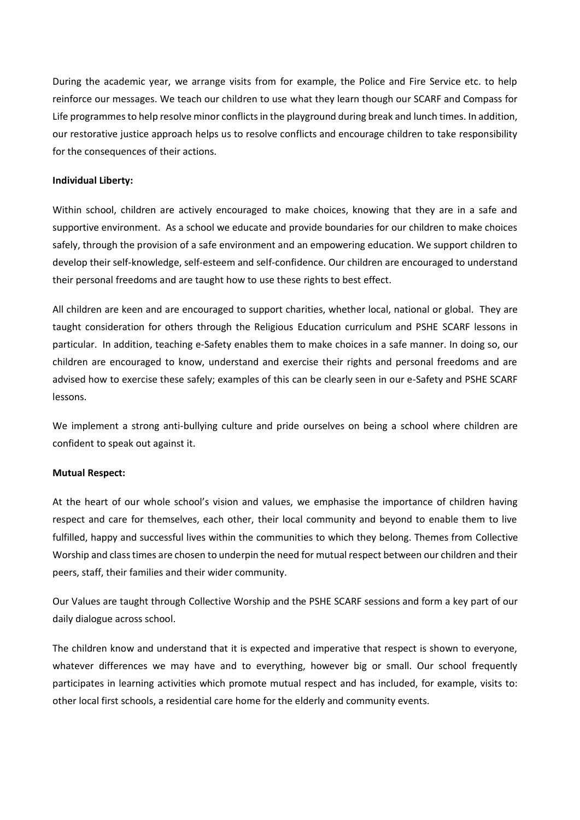During the academic year, we arrange visits from for example, the Police and Fire Service etc. to help reinforce our messages. We teach our children to use what they learn though our SCARF and Compass for Life programmes to help resolve minor conflicts in the playground during break and lunch times. In addition, our restorative justice approach helps us to resolve conflicts and encourage children to take responsibility for the consequences of their actions.

#### **Individual Liberty:**

Within school, children are actively encouraged to make choices, knowing that they are in a safe and supportive environment. As a school we educate and provide boundaries for our children to make choices safely, through the provision of a safe environment and an empowering education. We support children to develop their self-knowledge, self-esteem and self-confidence. Our children are encouraged to understand their personal freedoms and are taught how to use these rights to best effect.

All children are keen and are encouraged to support charities, whether local, national or global. They are taught consideration for others through the Religious Education curriculum and PSHE SCARF lessons in particular. In addition, teaching e-Safety enables them to make choices in a safe manner. In doing so, our children are encouraged to know, understand and exercise their rights and personal freedoms and are advised how to exercise these safely; examples of this can be clearly seen in our e-Safety and PSHE SCARF lessons.

We implement a strong anti-bullying culture and pride ourselves on being a school where children are confident to speak out against it.

#### **Mutual Respect:**

At the heart of our whole school's vision and values, we emphasise the importance of children having respect and care for themselves, each other, their local community and beyond to enable them to live fulfilled, happy and successful lives within the communities to which they belong. Themes from Collective Worship and classtimes are chosen to underpin the need for mutual respect between our children and their peers, staff, their families and their wider community.

Our Values are taught through Collective Worship and the PSHE SCARF sessions and form a key part of our daily dialogue across school.

The children know and understand that it is expected and imperative that respect is shown to everyone, whatever differences we may have and to everything, however big or small. Our school frequently participates in learning activities which promote mutual respect and has included, for example, visits to: other local first schools, a residential care home for the elderly and community events.